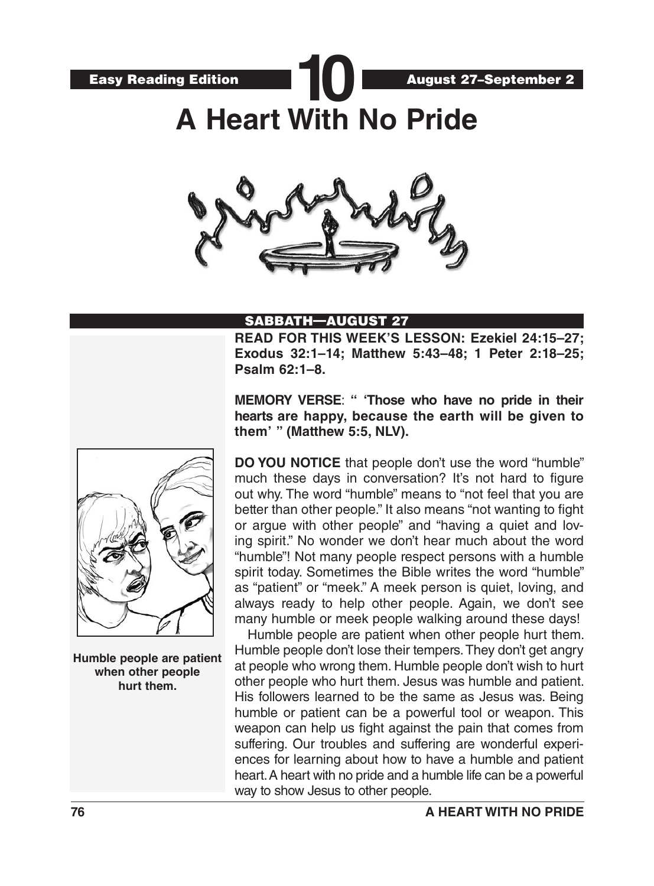August 27–September 2

**10 A Heart With No Pride**



#### SABBATH—AUGUST 27

**READ FOR THIS WEEK'S LESSON: Ezekiel 24:15–27; Exodus 32:1–14; Matthew 5:43–48; 1 Peter 2:18–25; Psalm 62:1–8.**

**MEMORY VERSE**: **" 'Those who have no pride in their hearts are happy, because the earth will be given to them' " (Matthew 5:5, NLV).**

**DO YOU NOTICE** that people don't use the word "humble" much these days in conversation? It's not hard to figure out why. The word "humble" means to "not feel that you are better than other people." It also means "not wanting to fight or argue with other people" and "having a quiet and loving spirit." No wonder we don't hear much about the word "humble"! Not many people respect persons with a humble spirit today. Sometimes the Bible writes the word "humble" as "patient" or "meek." A meek person is quiet, loving, and always ready to help other people. Again, we don't see many humble or meek people walking around these days!

Humble people are patient when other people hurt them. Humble people don't lose their tempers. They don't get angry at people who wrong them. Humble people don't wish to hurt other people who hurt them. Jesus was humble and patient. His followers learned to be the same as Jesus was. Being humble or patient can be a powerful tool or weapon. This weapon can help us fight against the pain that comes from suffering. Our troubles and suffering are wonderful experiences for learning about how to have a humble and patient heart. A heart with no pride and a humble life can be a powerful way to show Jesus to other people.



**Humble people are patient when other people hurt them.**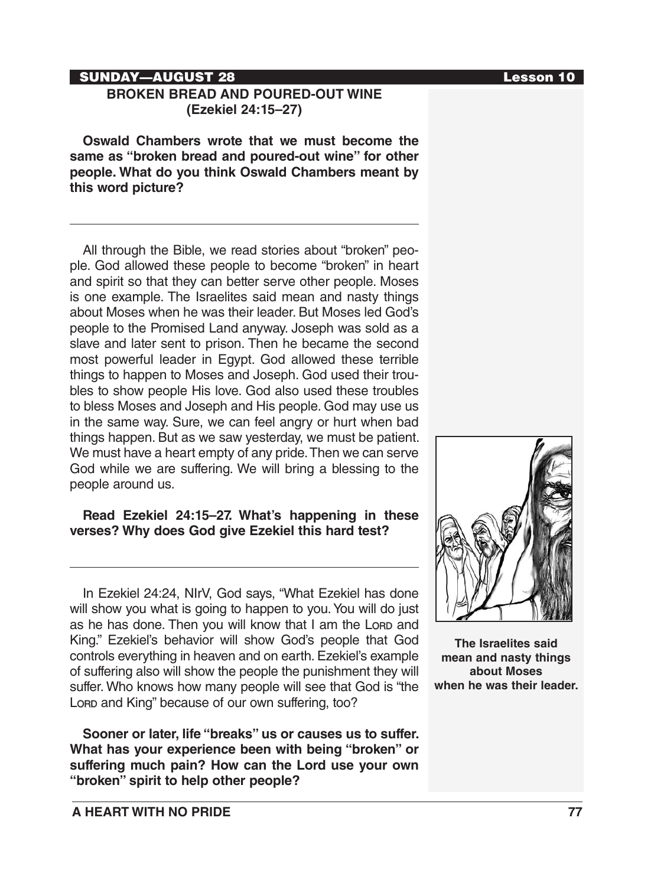**A HEART WITH NO PRIDE 77**

# SUNDAY—AUGUST 28 Lesson 10

# **BROKEN BREAD AND POURED-OUT WINE (Ezekiel 24:15–27)**

**Oswald Chambers wrote that we must become the same as "broken bread and poured-out wine" for other people. What do you think Oswald Chambers meant by this word picture?**

All through the Bible, we read stories about "broken" people. God allowed these people to become "broken" in heart and spirit so that they can better serve other people. Moses is one example. The Israelites said mean and nasty things about Moses when he was their leader. But Moses led God's people to the Promised Land anyway. Joseph was sold as a slave and later sent to prison. Then he became the second most powerful leader in Egypt. God allowed these terrible things to happen to Moses and Joseph. God used their troubles to show people His love. God also used these troubles to bless Moses and Joseph and His people. God may use us in the same way. Sure, we can feel angry or hurt when bad things happen. But as we saw yesterday, we must be patient. We must have a heart empty of any pride. Then we can serve God while we are suffering. We will bring a blessing to the people around us.

# **Read Ezekiel 24:15–27. What's happening in these verses? Why does God give Ezekiel this hard test?**

In Ezekiel 24:24, NIrV, God says, "What Ezekiel has done will show you what is going to happen to you. You will do just as he has done. Then you will know that I am the Lorp and King." Ezekiel's behavior will show God's people that God controls everything in heaven and on earth. Ezekiel's example of suffering also will show the people the punishment they will suffer. Who knows how many people will see that God is "the Lore and King" because of our own suffering, too?

**Sooner or later, life "breaks" us or causes us to suffer. What has your experience been with being "broken" or suffering much pain? How can the Lord use your own "broken" spirit to help other people?**



**The Israelites said mean and nasty things about Moses when he was their leader.**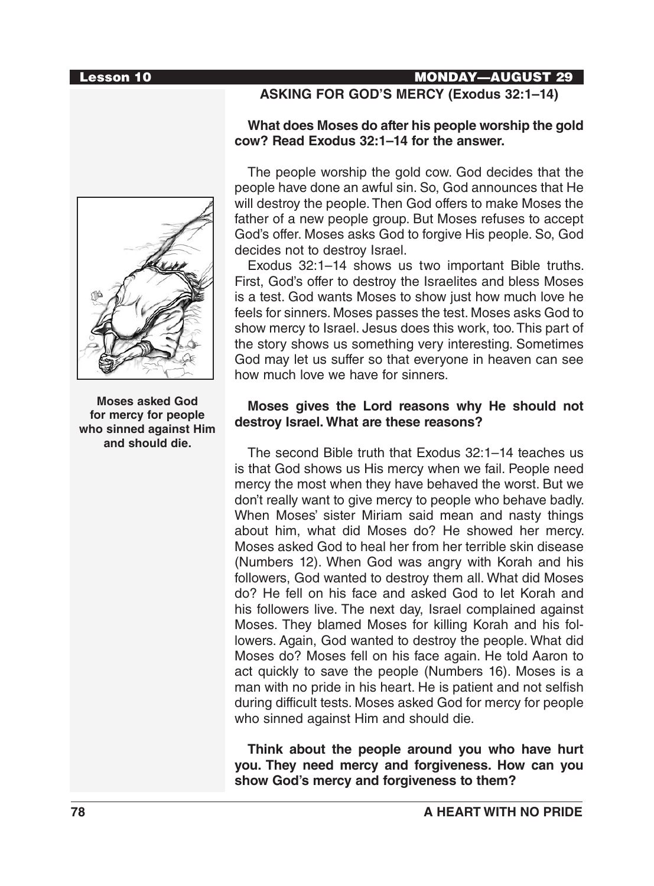### Lesson 10 MONDAY—AUGUST 29

# **ASKING FOR GOD'S MERCY (Exodus 32:1–14)**

#### **What does Moses do after his people worship the gold cow? Read Exodus 32:1–14 for the answer.**

The people worship the gold cow. God decides that the people have done an awful sin. So, God announces that He will destroy the people. Then God offers to make Moses the father of a new people group. But Moses refuses to accept God's offer. Moses asks God to forgive His people. So, God decides not to destroy Israel.

Exodus 32:1–14 shows us two important Bible truths. First, God's offer to destroy the Israelites and bless Moses is a test. God wants Moses to show just how much love he feels for sinners. Moses passes the test. Moses asks God to show mercy to Israel. Jesus does this work, too. This part of the story shows us something very interesting. Sometimes God may let us suffer so that everyone in heaven can see how much love we have for sinners.

### **Moses gives the Lord reasons why He should not destroy Israel. What are these reasons?**

The second Bible truth that Exodus 32:1–14 teaches us is that God shows us His mercy when we fail. People need mercy the most when they have behaved the worst. But we don't really want to give mercy to people who behave badly. When Moses' sister Miriam said mean and nasty things about him, what did Moses do? He showed her mercy. Moses asked God to heal her from her terrible skin disease (Numbers 12). When God was angry with Korah and his followers, God wanted to destroy them all. What did Moses do? He fell on his face and asked God to let Korah and his followers live. The next day, Israel complained against Moses. They blamed Moses for killing Korah and his followers. Again, God wanted to destroy the people. What did Moses do? Moses fell on his face again. He told Aaron to act quickly to save the people (Numbers 16). Moses is a man with no pride in his heart. He is patient and not selfish during difficult tests. Moses asked God for mercy for people who sinned against Him and should die.

**Think about the people around you who have hurt you. They need mercy and forgiveness. How can you show God's mercy and forgiveness to them?**



**Moses asked God for mercy for people who sinned against Him and should die.**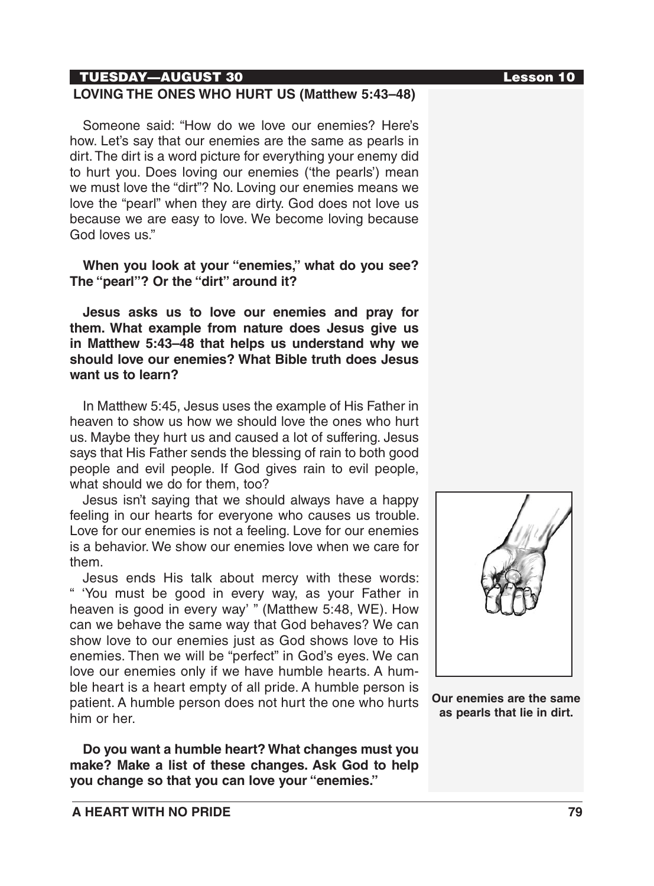# TUESDAY—AUGUST 30 Lesson 10

# **LOVING THE ONES WHO HURT US (Matthew 5:43–48)**

Someone said: "How do we love our enemies? Here's how. Let's say that our enemies are the same as pearls in dirt. The dirt is a word picture for everything your enemy did to hurt you. Does loving our enemies ('the pearls') mean we must love the "dirt"? No. Loving our enemies means we love the "pearl" when they are dirty. God does not love us because we are easy to love. We become loving because God loves us."

### **When you look at your "enemies," what do you see? The "pearl"? Or the "dirt" around it?**

**Jesus asks us to love our enemies and pray for them. What example from nature does Jesus give us in Matthew 5:43–48 that helps us understand why we should love our enemies? What Bible truth does Jesus want us to learn?**

In Matthew 5:45, Jesus uses the example of His Father in heaven to show us how we should love the ones who hurt us. Maybe they hurt us and caused a lot of suffering. Jesus says that His Father sends the blessing of rain to both good people and evil people. If God gives rain to evil people, what should we do for them, too?

Jesus isn't saying that we should always have a happy feeling in our hearts for everyone who causes us trouble. Love for our enemies is not a feeling. Love for our enemies is a behavior. We show our enemies love when we care for them.

Jesus ends His talk about mercy with these words: " 'You must be good in every way, as your Father in heaven is good in every way' " (Matthew 5:48, WE). How can we behave the same way that God behaves? We can show love to our enemies just as God shows love to His enemies. Then we will be "perfect" in God's eyes. We can love our enemies only if we have humble hearts. A humble heart is a heart empty of all pride. A humble person is patient. A humble person does not hurt the one who hurts him or her.

**Do you want a humble heart? What changes must you make? Make a list of these changes. Ask God to help you change so that you can love your "enemies."**



**Our enemies are the same as pearls that lie in dirt.**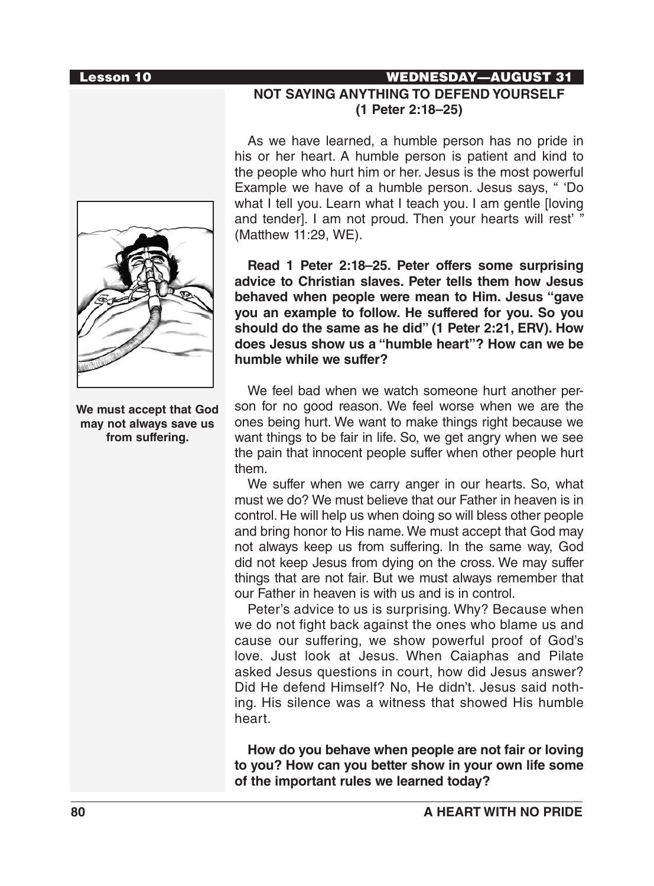#### Lesson 10 WEDNESDAY—AUGUST 31



**We must accept that God may not always save us from suffering.**

# **NOT SAYING ANYTHING TO DEFEND YOURSELF (1 Peter 2:18–25)**

As we have learned, a humble person has no pride in his or her heart. A humble person is patient and kind to the people who hurt him or her. Jesus is the most powerful Example we have of a humble person. Jesus says, " 'Do what I tell you. Learn what I teach you. I am gentle [loving and tender]. I am not proud. Then your hearts will rest' " (Matthew 11:29, WE).

**Read 1 Peter 2:18–25. Peter offers some surprising advice to Christian slaves. Peter tells them how Jesus behaved when people were mean to Him. Jesus "gave you an example to follow. He suffered for you. So you should do the same as he did" (1 Peter 2:21, ERV). How does Jesus show us a "humble heart"? How can we be humble while we suffer?**

We feel bad when we watch someone hurt another person for no good reason. We feel worse when we are the ones being hurt. We want to make things right because we want things to be fair in life. So, we get angry when we see the pain that innocent people suffer when other people hurt them.

We suffer when we carry anger in our hearts. So, what must we do? We must believe that our Father in heaven is in control. He will help us when doing so will bless other people and bring honor to His name. We must accept that God may not always keep us from suffering. In the same way, God did not keep Jesus from dying on the cross. We may suffer things that are not fair. But we must always remember that our Father in heaven is with us and is in control.

Peter's advice to us is surprising. Why? Because when we do not fight back against the ones who blame us and cause our suffering, we show powerful proof of God's love. Just look at Jesus. When Caiaphas and Pilate asked Jesus questions in court, how did Jesus answer? Did He defend Himself? No, He didn't. Jesus said nothing. His silence was a witness that showed His humble heart.

**How do you behave when people are not fair or loving to you? How can you better show in your own life some of the important rules we learned today?**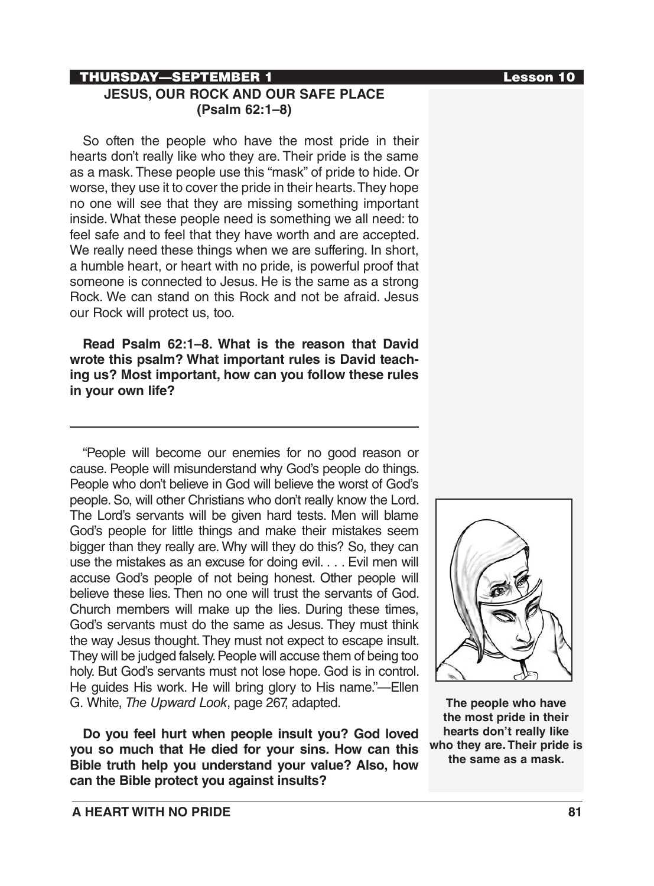# THURSDAY—SEPTEMBER 1 Lesson 10 **JESUS, OUR ROCK AND OUR SAFE PLACE (Psalm 62:1–8)**

So often the people who have the most pride in their hearts don't really like who they are. Their pride is the same as a mask. These people use this "mask" of pride to hide. Or worse, they use it to cover the pride in their hearts. They hope no one will see that they are missing something important inside. What these people need is something we all need: to feel safe and to feel that they have worth and are accepted. We really need these things when we are suffering. In short, a humble heart, or heart with no pride, is powerful proof that someone is connected to Jesus. He is the same as a strong Rock. We can stand on this Rock and not be afraid. Jesus our Rock will protect us, too.

**Read Psalm 62:1–8. What is the reason that David wrote this psalm? What important rules is David teaching us? Most important, how can you follow these rules in your own life?**

"People will become our enemies for no good reason or cause. People will misunderstand why God's people do things. People who don't believe in God will believe the worst of God's people. So, will other Christians who don't really know the Lord. The Lord's servants will be given hard tests. Men will blame God's people for little things and make their mistakes seem bigger than they really are. Why will they do this? So, they can use the mistakes as an excuse for doing evil. . . . Evil men will accuse God's people of not being honest. Other people will believe these lies. Then no one will trust the servants of God. Church members will make up the lies. During these times, God's servants must do the same as Jesus. They must think the way Jesus thought. They must not expect to escape insult. They will be judged falsely. People will accuse them of being too holy. But God's servants must not lose hope. God is in control. He guides His work. He will bring glory to His name."—Ellen G. White, *The Upward Look*, page 267, adapted.

**Do you feel hurt when people insult you? God loved you so much that He died for your sins. How can this Bible truth help you understand your value? Also, how can the Bible protect you against insults?**



**The people who have the most pride in their hearts don't really like who they are. Their pride is the same as a mask.**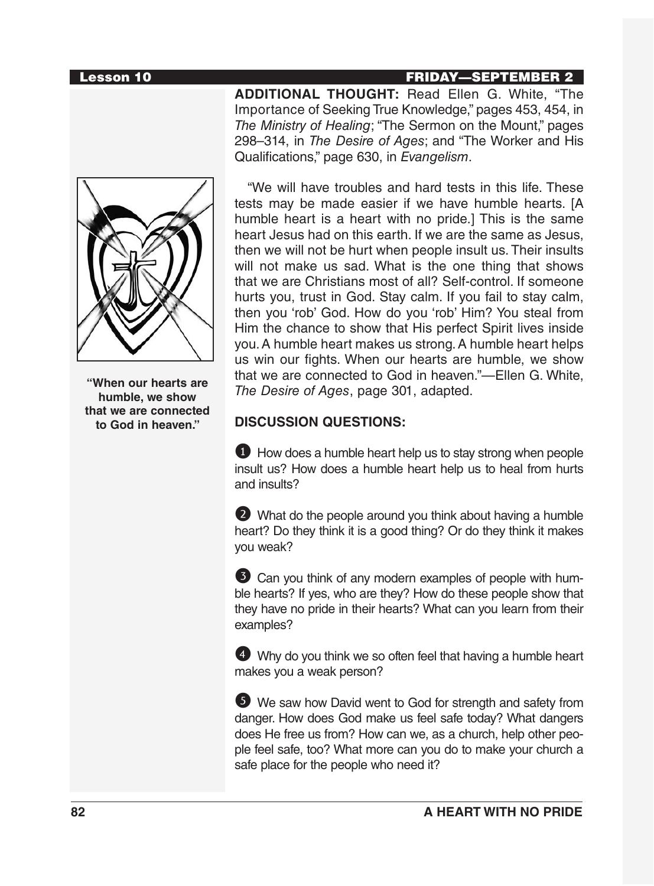#### Lesson 10 FRIDAY—SEPTEMBER 2

**ADDITIONAL THOUGHT:** Read Ellen G. White, "The Importance of Seeking True Knowledge," pages 453, 454, in *The Ministry of Healing*; "The Sermon on the Mount," pages 298–314, in *The Desire of Ages*; and "The Worker and His Qualifications," page 630, in *Evangelism*.



**"When our hearts are humble, we show that we are connected to God in heaven."**

"We will have troubles and hard tests in this life. These tests may be made easier if we have humble hearts. [A humble heart is a heart with no pride.] This is the same heart Jesus had on this earth. If we are the same as Jesus, then we will not be hurt when people insult us. Their insults will not make us sad. What is the one thing that shows that we are Christians most of all? Self-control. If someone hurts you, trust in God. Stay calm. If you fail to stay calm, then you 'rob' God. How do you 'rob' Him? You steal from Him the chance to show that His perfect Spirit lives inside you. A humble heart makes us strong. A humble heart helps us win our fights. When our hearts are humble, we show that we are connected to God in heaven."—Ellen G. White, *The Desire of Ages*, page 301, adapted.

### **DISCUSSION QUESTIONS:**

**1** How does a humble heart help us to stay strong when people insult us? How does a humble heart help us to heal from hurts and insults?

2 What do the people around you think about having a humble heart? Do they think it is a good thing? Or do they think it makes you weak?

3 Can you think of any modern examples of people with humble hearts? If yes, who are they? How do these people show that they have no pride in their hearts? What can you learn from their examples?

4 Why do you think we so often feel that having a humble heart makes you a weak person?

5 We saw how David went to God for strength and safety from danger. How does God make us feel safe today? What dangers does He free us from? How can we, as a church, help other people feel safe, too? What more can you do to make your church a safe place for the people who need it?